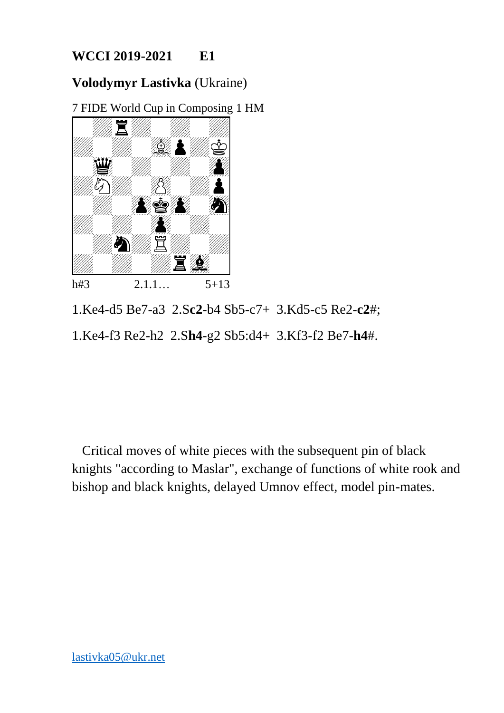### **Volodymyr Lastivka** (Ukraine)

7 FIDE World Cup in Composing 1 HM



1.Ke4-d5 Be7-a3 2.S**c2**-b4 Sb5-c7+ 3.Kd5-c5 Re2-**c2**#; 1.Ke4-f3 Re2-h2 2.S**h4**-g2 Sb5:d4+ 3.Kf3-f2 Be7-**h4**#.

 Critical moves of white pieces with the subsequent pin of black knights "according to Maslar", exchange of functions of white rook and bishop and black knights, delayed Umnov effect, model pin-mates.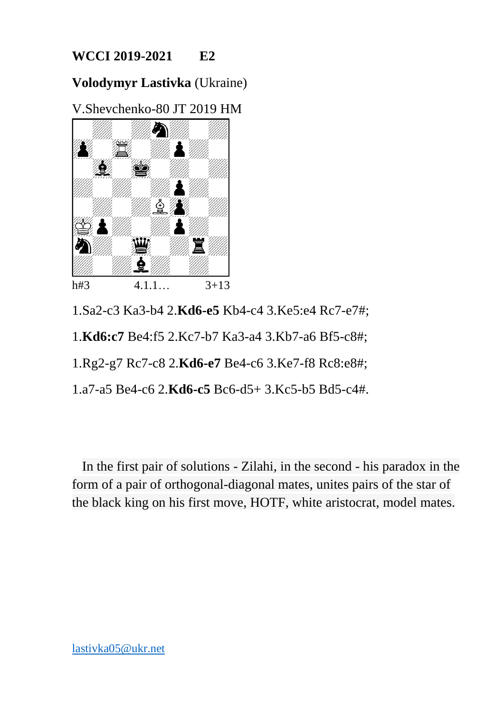**Volodymyr Lastivka** (Ukraine)

V.Shevchenko-80 JT 2019 HM



1.Sa2-c3 Ka3-b4 2.**Kd6-e5** Kb4-c4 3.Ke5:e4 Rc7-e7#;

1.**Kd6:c7** Be4:f5 2.Kc7-b7 Ka3-a4 3.Kb7-a6 Bf5-c8#;

1.Rg2-g7 Rc7-c8 2.**Kd6-e7** Be4-c6 3.Ke7-f8 Rc8:e8#;

1.a7-a5 Be4-c6 2.**Kd6-c5** Bc6-d5+ 3.Kc5-b5 Bd5-c4#.

 In the first pair of solutions - Zilahi, in the second - his paradox in the form of a pair of orthogonal-diagonal mates, unites pairs of the star of the black king on his first move, HOTF, white aristocrat, model mates.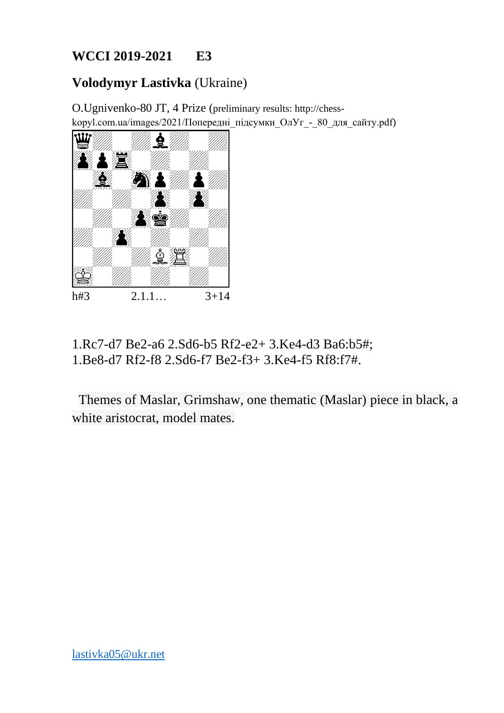# **Volodymyr Lastivka** (Ukraine)

O.Ugnivenko-80 JT, 4 Prize (preliminary results: http://chesskopyl.com.ua/images/2021/Попередні підсумки  $O_IY_I - 80$  для сайту.pdf)



1.Rc7-d7 Be2-a6 2.Sd6-b5 Rf2-e2+ 3.Ke4-d3 Ba6:b5#; 1.Be8-d7 Rf2-f8 2.Sd6-f7 Be2-f3+ 3.Ke4-f5 Rf8:f7#.

 Themes of Maslar, Grimshaw, one thematic (Maslar) piece in black, a white aristocrat, model mates.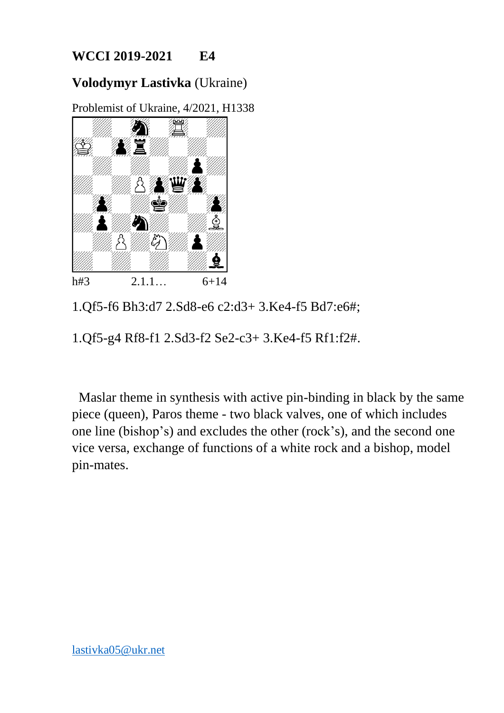### **Volodymyr Lastivka** (Ukraine)

Problemist of Ukraine, 4/2021, H1338



1.Qf5-f6 Bh3:d7 2.Sd8-e6 c2:d3+ 3.Ke4-f5 Bd7:e6#;

1.Qf5-g4 Rf8-f1 2.Sd3-f2 Se2-c3+ 3.Ke4-f5 Rf1:f2#.

 Maslar theme in synthesis with active pin-binding in black by the same piece (queen), Paros theme - two black valves, one of which includes one line (bishop's) and excludes the other (rock's), and the second one vice versa, exchange of functions of a white rock and a bishop, model pin-mates.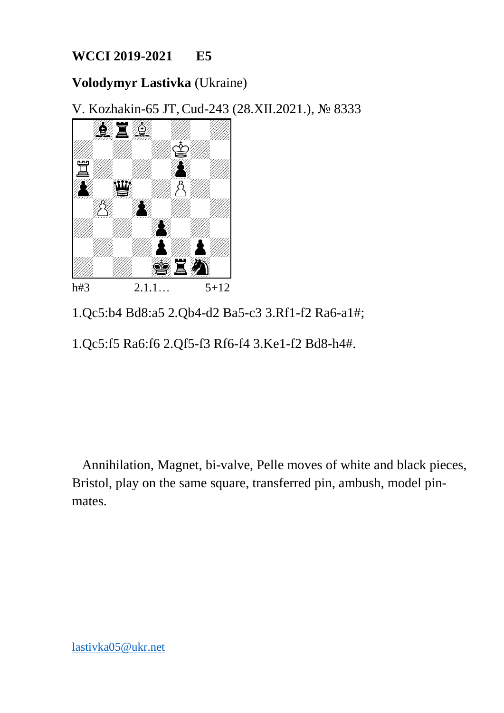### **Volodymyr Lastivka** (Ukraine)

V. Kozhakin-65 JT,Cud-243 (28.XII.2021.), № 8333



1.Qc5:b4 Bd8:a5 2.Qb4-d2 Ba5-c3 3.Rf1-f2 Ra6-a1#;

1.Qc5:f5 Ra6:f6 2.Qf5-f3 Rf6-f4 3.Ke1-f2 Bd8-h4#.

 Annihilation, Magnet, bi-valve, Pelle moves of white and black pieces, Bristol, play on the same square, transferred pin, ambush, model pinmates.